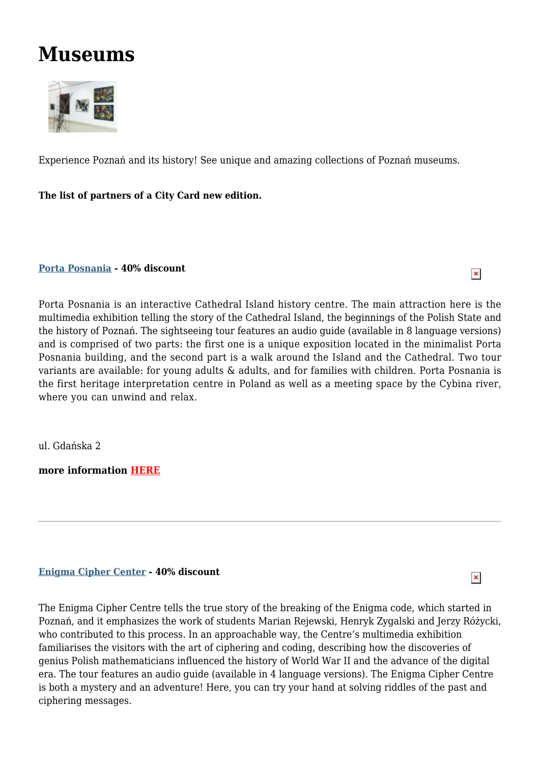# **Museums**



E[xperience Pozna](http://www.poznan.travel/media/images/main/192eksp_1_S_Obst.jpg)ń and its history! See unique and amazing collections of Poznań museums.

**The list of partners of a City Card new edition.**

**Porta Posnania - 40% discount**

Porta Posnania is an interactive Cathedral Island history centre. The main attraction here is the [multimedia](http://poznan.travel/en/poi/show/id/1149) exhibition telling the story of the Cathedral Island, the beginnings of the Polish State and the history of Poznań. The sightseeing tour features an audio guide (available in 8 language versions) and is comprised of two parts: the first one is a unique exposition located in the minimalist Porta Posnania building, and the second part is a walk around the Island and the Cathedral. Two tour variants are available: for young adults & adults, and for families with children. Porta Posnania is the first heritage interpretation centre in Poland as well as a meeting space by the Cybina river, where you can unwind and relax.

 $\pmb{\times}$ 

 $\pmb{\times}$ 

ul. Gdańska 2

**more information HERE**

# **Enigma Cipher Center - 40% discount**

The Enigma Cipher Centre tells the true story of the breaking of the Enigma code, which started in Poznań, and it [emphasiz](http://www.csenigma.pl)es the work of students Marian Rejewski, Henryk Zygalski and Jerzy Różycki, who contributed to this process. In an approachable way, the Centre's multimedia exhibition familiarises the visitors with the art of ciphering and coding, describing how the discoveries of genius Polish mathematicians influenced the history of World War II and the advance of the digital era. The tour features an audio guide (available in 4 language versions). The Enigma Cipher Centre is both a mystery and an adventure! Here, you can try your hand at solving riddles of the past and ciphering messages.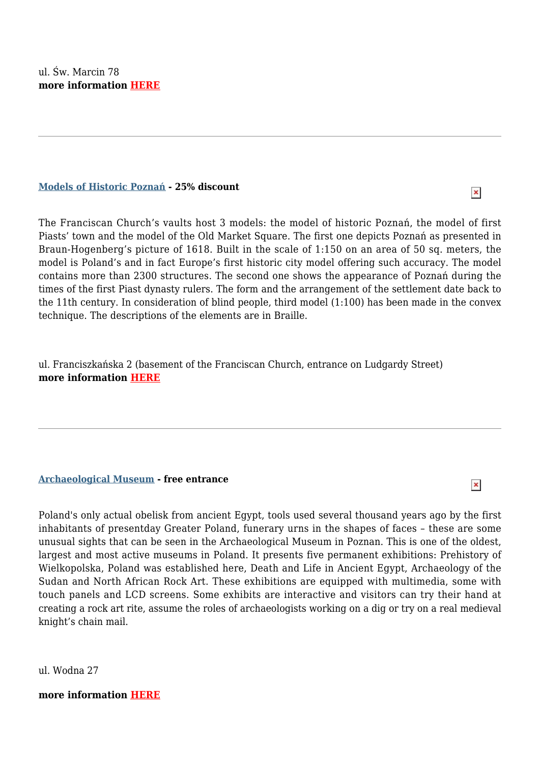## **Models of Historic Poznań - 25% discount**

 $\pmb{\times}$ 

 $\pmb{\times}$ 

The Franciscan Church's vaults host 3 models: the model of historic Poznań, the model of first [Piasts'](http://poznan.travel/en/poi/show/id/436) town and the model of the Old Market Square. The first one depicts Poznań as presented in Braun-Hogenberg's picture of 1618. Built in the scale of 1:150 on an area of 50 sq. meters, the model is Poland's and in fact Europe's first historic city model offering such accuracy. The model contains more than 2300 structures. The second one shows the appearance of Poznań during the times of the first Piast dynasty rulers. The form and the arrangement of the settlement date back to the 11th century. In consideration of blind people, third model (1:100) has been made in the convex technique. The descriptions of the elements are in Braille.

ul. Franciszkańska 2 (basement of the Franciscan Church, entrance on Ludgardy Street) **more information HERE**

# **Archaeological Museum - free entrance**

Poland's only actual obelisk from ancient Egypt, tools used several thousand years ago by the first [inhabitants](http://poznan.travel/en/poi/show/id/73) of presentday Greater Poland, funerary urns in the shapes of faces – these are some unusual sights that can be seen in the Archaeological Museum in Poznan. This is one of the oldest, largest and most active museums in Poland. It presents five permanent exhibitions: Prehistory of Wielkopolska, Poland was established here, Death and Life in Ancient Egypt, Archaeology of the Sudan and North African Rock Art. These exhibitions are equipped with multimedia, some with touch panels and LCD screens. Some exhibits are interactive and visitors can try their hand at creating a rock art rite, assume the roles of archaeologists working on a dig or try on a real medieval knight's chain mail.

ul. Wodna 27

# **more information HERE**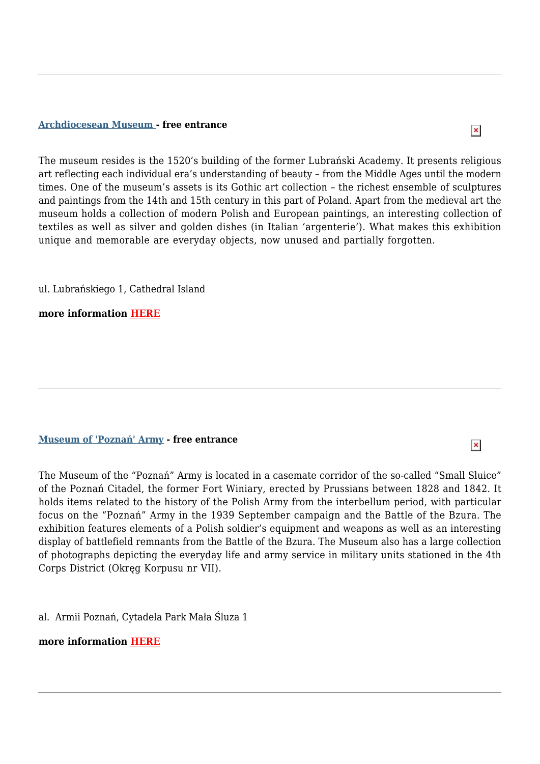#### **Archdiocesean Museum - free entrance**

The museum resides is the 1520's building of the former Lubrański Academy. It presents religious art [reflecting](http://poznan.travel/en/poi/show/id/439) each individual era's understanding of beauty – from the Middle Ages until the modern times. One of the museum's assets is its Gothic art collection – the richest ensemble of sculptures and paintings from the 14th and 15th century in this part of Poland. Apart from the medieval art the museum holds a collection of modern Polish and European paintings, an interesting collection of textiles as well as silver and golden dishes (in Italian 'argenterie'). What makes this exhibition unique and memorable are everyday objects, now unused and partially forgotten.

ul. Lubrańskiego 1, Cathedral Island

**more information HERE**

## **Museum of 'Poznań' Army - free entrance**

The Museum of the "Poznań" Army is located in a casemate corridor of the so-called "Small Sluice" of the Poznań [Citadel,](http://poznan.travel/en/poi/show/id/952) the former Fort Winiary, erected by Prussians between 1828 and 1842. It holds items related to the history of the Polish Army from the interbellum period, with particular focus on the "Poznań" Army in the 1939 September campaign and the Battle of the Bzura. The exhibition features elements of a Polish soldier's equipment and weapons as well as an interesting display of battlefield remnants from the Battle of the Bzura. The Museum also has a large collection of photographs depicting the everyday life and army service in military units stationed in the 4th Corps District (Okręg Korpusu nr VII).

al. Armii Poznań, Cytadela Park Mała Śluza 1

## **more information HERE**

 $\pmb{\times}$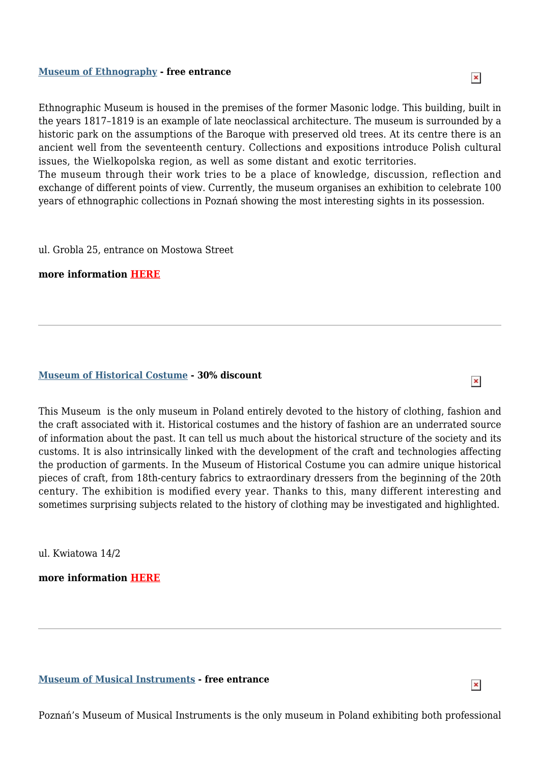

 $\pmb{\times}$ 

 $\pmb{\times}$ 

Ethnographic Museum is housed in the premises of the former Masonic lodge. This building, built in the years [1817–1819](http://poznan.travel/en/poi/show/id/444) is an example of late neoclassical architecture. The museum is surrounded by a historic park on the assumptions of the Baroque with preserved old trees. At its centre there is an ancient well from the seventeenth century. Collections and expositions introduce Polish cultural issues, the Wielkopolska region, as well as some distant and exotic territories.

The museum through their work tries to be a place of knowledge, discussion, reflection and exchange of different points of view. Currently, the museum organises an exhibition to celebrate 100 years of ethnographic collections in Poznań showing the most interesting sights in its possession.

ul. Grobla 25, entrance on Mostowa Street

**more information HERE**

## **Museum of Historical Costume - 30% discount**

This Museum is the only museum in Poland entirely devoted to the history of clothing, fashion and the craft [associated](http://www.xixgallery.com) with it. Historical costumes and the history of fashion are an underrated source of information about the past. It can tell us much about the historical structure of the society and its customs. It is also intrinsically linked with the development of the craft and technologies affecting the production of garments. In the Museum of Historical Costume you can admire unique historical pieces of craft, from 18th-century fabrics to extraordinary dressers from the beginning of the 20th century. The exhibition is modified every year. Thanks to this, many different interesting and sometimes surprising subjects related to the history of clothing may be investigated and highlighted.

ul. Kwiatowa 14/2

**more information HERE**

## **Museum of Musical Instruments - free entrance**

[Poznań's](http://poznan.travel/en/poi/show/id/446) Museum of Musical Instruments is the only museum in Poland exhibiting both professional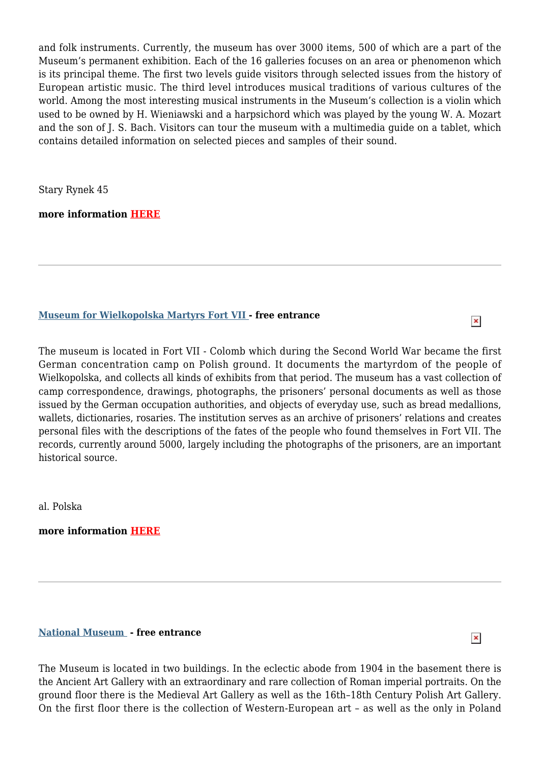and folk instruments. Currently, the museum has over 3000 items, 500 of which are a part of the Museum's permanent exhibition. Each of the 16 galleries focuses on an area or phenomenon which is its principal theme. The first two levels guide visitors through selected issues from the history of European artistic music. The third level introduces musical traditions of various cultures of the world. Among the most interesting musical instruments in the Museum's collection is a violin which used to be owned by H. Wieniawski and a harpsichord which was played by the young W. A. Mozart and the son of J. S. Bach. Visitors can tour the museum with a multimedia guide on a tablet, which contains detailed information on selected pieces and samples of their sound.

Stary Rynek 45

**more information HERE**

## **Museum for Wielkopolska Martyrs Fort VII - free entrance**

The museum is located in Fort VII - Colomb which during the Second World War became the first German [concentration](http://poznan.travel/en/poi/show/id/450) camp on Polish ground. It documents the martyrdom of the people of Wielkopolska, and collects all kinds of exhibits from that period. The museum has a vast collection of camp correspondence, drawings, photographs, the prisoners' personal documents as well as those issued by the German occupation authorities, and objects of everyday use, such as bread medallions, wallets, dictionaries, rosaries. The institution serves as an archive of prisoners' relations and creates personal files with the descriptions of the fates of the people who found themselves in Fort VII. The records, currently around 5000, largely including the photographs of the prisoners, are an important historical source.

al. Polska

**more information HERE**

# **National Museum - free entrance**

 $\pmb{\times}$ 

 $\pmb{\times}$ 

The Museum is located in two buildings. In the eclectic abode from 1904 in the basement there is the [Ancient](http://poznan.travel/en/poi/show/id/443) Art Gallery with an extraordinary and rare collection of Roman imperial portraits. On the ground floor there is the Medieval Art Gallery as well as the 16th–18th Century Polish Art Gallery. On the first floor there is the collection of Western-European art – as well as the only in Poland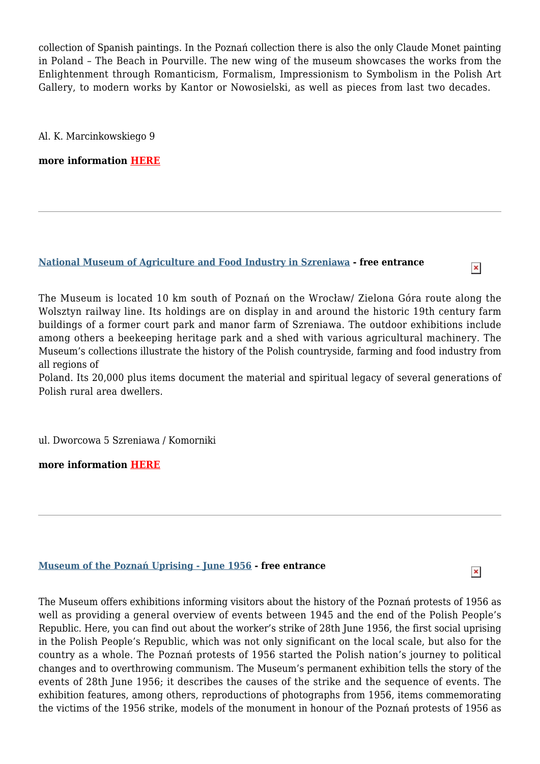collection of Spanish paintings. In the Poznań collection there is also the only Claude Monet painting in Poland – The Beach in Pourville. The new wing of the museum showcases the works from the Enlightenment through Romanticism, Formalism, Impressionism to Symbolism in the Polish Art Gallery, to modern works by Kantor or Nowosielski, as well as pieces from last two decades.

Al. K. Marcinkowskiego 9

**more information HERE**

# **National Museum of Agriculture and Food Industry in Szreniawa - free entrance**

The Museum is located 10 km south of Poznań on the Wrocław/ Zielona Góra route along the [Wolsztyn](http://poznan.travel/en/poi/show/id/1098) railway line. Its holdings are on display in and around the historic 19th century farm buildings of a former court park and manor farm of Szreniawa. The outdoor exhibitions include among others a beekeeping heritage park and a shed with various agricultural machinery. The Museum's collections illustrate the history of the Polish countryside, farming and food industry from all regions of

Poland. Its 20,000 plus items document the material and spiritual legacy of several generations of Polish rural area dwellers.

ul. Dworcowa 5 Szreniawa / Komorniki

**more information HERE**

# **Museum of the Poznań Uprising - June 1956 - free entrance**

The Museum offers exhibitions informing visitors about the history of the Poznań protests of 1956 as well as [providing](http://poznan.travel/en/poi/show/id/454) a general overview of events between 1945 and the end of the Polish People's Republic. Here, you can find out about the worker's strike of 28th June 1956, the first social uprising in the Polish People's Republic, which was not only significant on the local scale, but also for the country as a whole. The Poznań protests of 1956 started the Polish nation's journey to political changes and to overthrowing communism. The Museum's permanent exhibition tells the story of the events of 28th June 1956; it describes the causes of the strike and the sequence of events. The exhibition features, among others, reproductions of photographs from 1956, items commemorating the victims of the 1956 strike, models of the monument in honour of the Poznań protests of 1956 as

 $\pmb{\times}$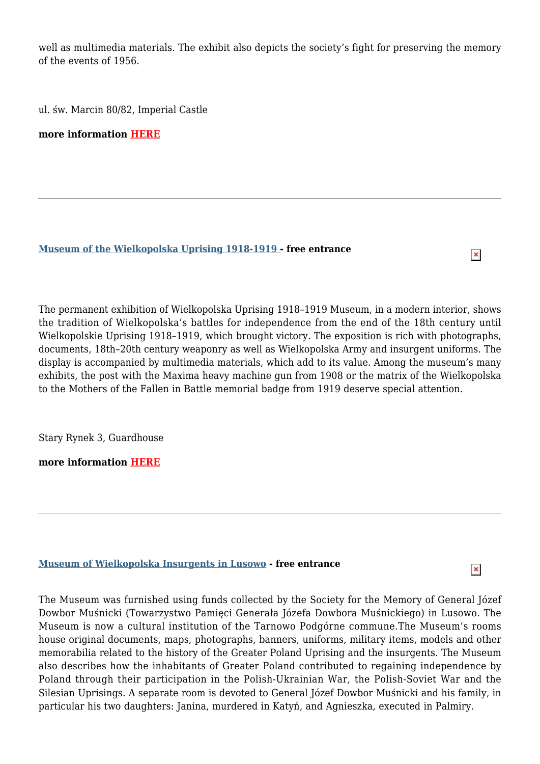well as multimedia materials. The exhibit also depicts the society's fight for preserving the memory of the events of 1956.

ul. św. Marcin 80/82, Imperial Castle

**more information HERE**

## **Museum of the Wielkopolska Uprising 1918-1919 - free entrance**

The permanent exhibition of Wielkopolska Uprising 1918–1919 Museum, in a modern interior, shows the tradition of Wielkopolska's battles for independence from the end of the 18th century until Wielkopolskie Uprising 1918–1919, which brought victory. The exposition is rich with photographs, documents, 18th–20th century weaponry as well as Wielkopolska Army and insurgent uniforms. The display is accompanied by multimedia materials, which add to its value. Among the museum's many exhibits, the post with the Maxima heavy machine gun from 1908 or the matrix of the Wielkopolska to the Mothers of the Fallen in Battle memorial badge from 1919 deserve special attention.

 $\pmb{\times}$ 

 $\pmb{\times}$ 

Stary Rynek 3, Guardhouse

**more information HERE**

## **Museum of Wielkopolska Insurgents in Lusowo - free entrance**

The Museum was furnished using funds collected by the Society for the Memory of General Józef Dowbor Muśnicki [\(Towarzystwo](http://www.muzeumlusowo.pl) Pamięci Generała Józefa Dowbora Muśnickiego) in Lusowo. The Museum is now a cultural institution of the Tarnowo Podgórne commune.The Museum's rooms house original documents, maps, photographs, banners, uniforms, military items, models and other memorabilia related to the history of the Greater Poland Uprising and the insurgents. The Museum also describes how the inhabitants of Greater Poland contributed to regaining independence by Poland through their participation in the Polish-Ukrainian War, the Polish-Soviet War and the Silesian Uprisings. A separate room is devoted to General Józef Dowbor Muśnicki and his family, in particular his two daughters: Janina, murdered in Katyń, and Agnieszka, executed in Palmiry.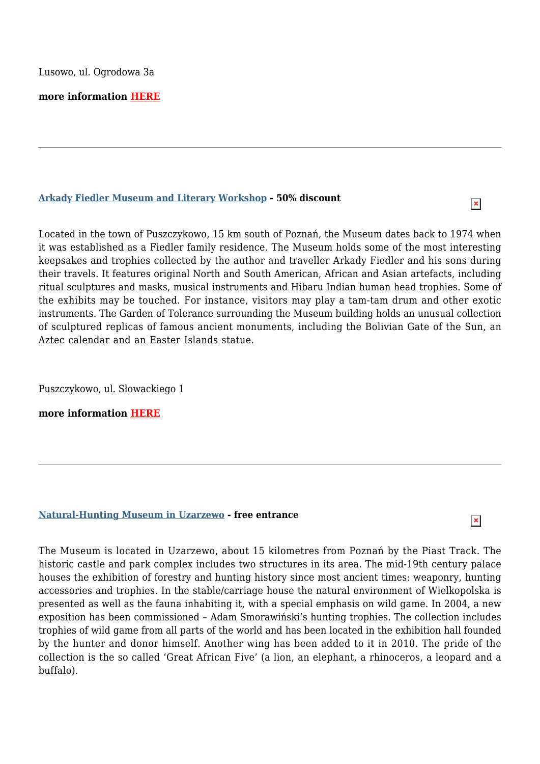## **more information HERE**

#### **Arkady Fiedler Museum and Literary Workshop - 50% discount**

Located in the town of Puszczykowo, 15 km south of Poznań, the Museum dates back to 1974 when it was [established](http://poznan.travel/en/poi/show/id/487) as a Fiedler family residence. The Museum holds some of the most interesting keepsakes and trophies collected by the author and traveller Arkady Fiedler and his sons during their travels. It features original North and South American, African and Asian artefacts, including ritual sculptures and masks, musical instruments and Hibaru Indian human head trophies. Some of the exhibits may be touched. For instance, visitors may play a tam-tam drum and other exotic instruments. The Garden of Tolerance surrounding the Museum building holds an unusual collection of sculptured replicas of famous ancient monuments, including the Bolivian Gate of the Sun, an Aztec calendar and an Easter Islands statue.

Puszczykowo, ul. Słowackiego 1

**more information HERE**

#### **Natural-Hunting Museum in Uzarzewo - free entrance**

 $\pmb{\times}$ 

The Museum is located in Uzarzewo, about 15 kilometres from Poznań by the Piast Track. The historic castle and park [complex](http://poznan.travel/en/poi/show/id/933) includes two structures in its area. The mid-19th century palace houses the exhibition of forestry and hunting history since most ancient times: weaponry, hunting accessories and trophies. In the stable/carriage house the natural environment of Wielkopolska is presented as well as the fauna inhabiting it, with a special emphasis on wild game. In 2004, a new exposition has been commissioned – Adam Smorawiński's hunting trophies. The collection includes trophies of wild game from all parts of the world and has been located in the exhibition hall founded by the hunter and donor himself. Another wing has been added to it in 2010. The pride of the collection is the so called 'Great African Five' (a lion, an elephant, a rhinoceros, a leopard and a buffalo).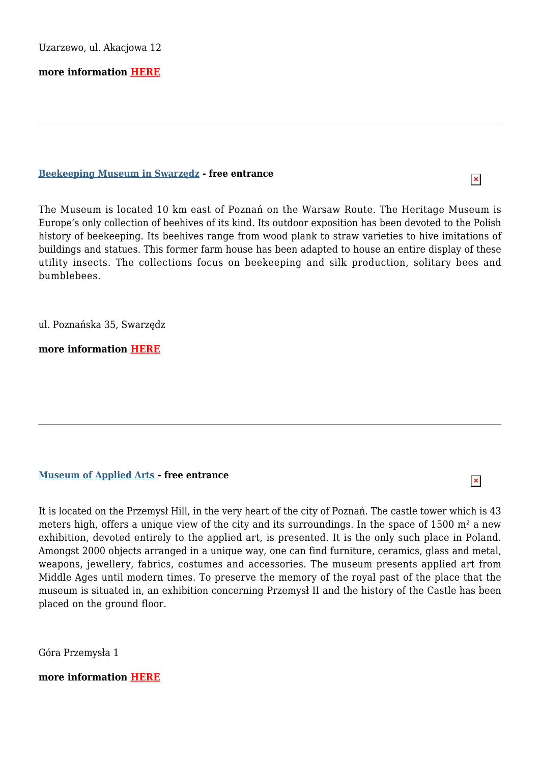Uzarzewo, ul. Akacjowa 12

**more information HERE**

#### **Beekeeping Museum in Swarzędz - free entrance**

 $\pmb{\times}$ 

The Museum is located 10 km east of Poznań on the Warsaw Route. The Heritage Museum is Europe's only [collection](http://poznan.travel/en/poi/show/id/490) of beehives of its kind. Its outdoor exposition has been devoted to the Polish history of beekeeping. Its beehives range from wood plank to straw varieties to hive imitations of buildings and statues. This former farm house has been adapted to house an entire display of these utility insects. The collections focus on beekeeping and silk production, solitary bees and bumblebees.

ul. Poznańska 35, Swarzędz

**more information HERE**

# **Museum of Applied Arts - free entrance**

It is located on the Przemysł Hill, in the very heart of the city of Poznań. The castle tower which is 43 [meters](http://www.mnp.art.pl) high, offers a unique view of the city and its surroundings. In the space of 1500 m² a new exhibition, devoted entirely to the applied art, is presented. It is the only such place in Poland. Amongst 2000 objects arranged in a unique way, one can find furniture, ceramics, glass and metal, weapons, jewellery, fabrics, costumes and accessories. The museum presents applied art from Middle Ages until modern times. To preserve the memory of the royal past of the place that the museum is situated in, an exhibition concerning Przemysł II and the history of the Castle has been placed on the ground floor.

Góra Przemysła 1

**more information HERE**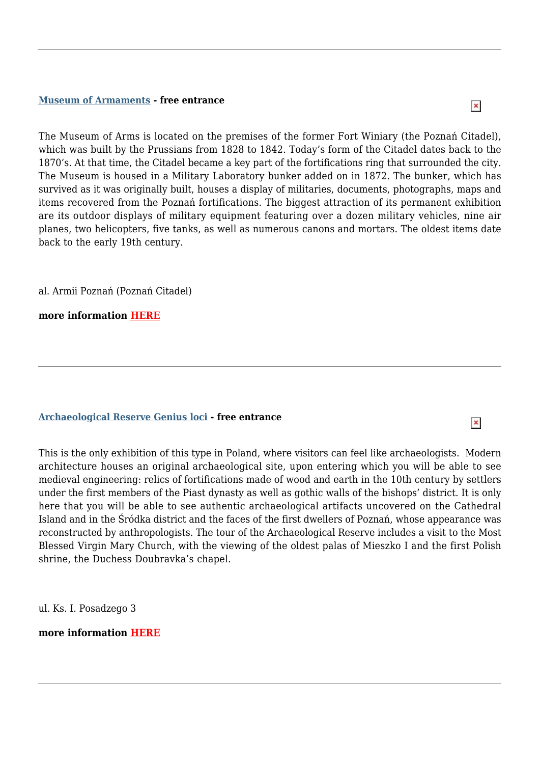#### **Museum of Armaments - free entrance**

 $\pmb{\times}$ 

The Museum of Arms is located on the premises of the former Fort Winiary (the Poznań Citadel), [which](http://poznan.travel/en/poi/show/id/453) was built by the Prussians from 1828 to 1842. Today's form of the Citadel dates back to the 1870's. At that time, the Citadel became a key part of the fortifications ring that surrounded the city. The Museum is housed in a Military Laboratory bunker added on in 1872. The bunker, which has survived as it was originally built, houses a display of militaries, documents, photographs, maps and items recovered from the Poznań fortifications. The biggest attraction of its permanent exhibition are its outdoor displays of military equipment featuring over a dozen military vehicles, nine air planes, two helicopters, five tanks, as well as numerous canons and mortars. The oldest items date back to the early 19th century.

al. Armii Poznań (Poznań Citadel)

**more information HERE**

#### **Archaeological Reserve Genius loci - free entrance**

This is the only exhibition of this type in Poland, where visitors can feel like archaeologists. Modern [architecture](http://poznan.travel/en/poi/show/id/438) houses an original archaeological site, upon entering which you will be able to see medieval engineering: relics of fortifications made of wood and earth in the 10th century by settlers under the first members of the Piast dynasty as well as gothic walls of the bishops' district. It is only here that you will be able to see authentic archaeological artifacts uncovered on the Cathedral Island and in the Śródka district and the faces of the first dwellers of Poznań, whose appearance was reconstructed by anthropologists. The tour of the Archaeological Reserve includes a visit to the Most Blessed Virgin Mary Church, with the viewing of the oldest palas of Mieszko I and the first Polish shrine, the Duchess Doubravka's chapel.

ul. Ks. I. Posadzego 3

**more information HERE**